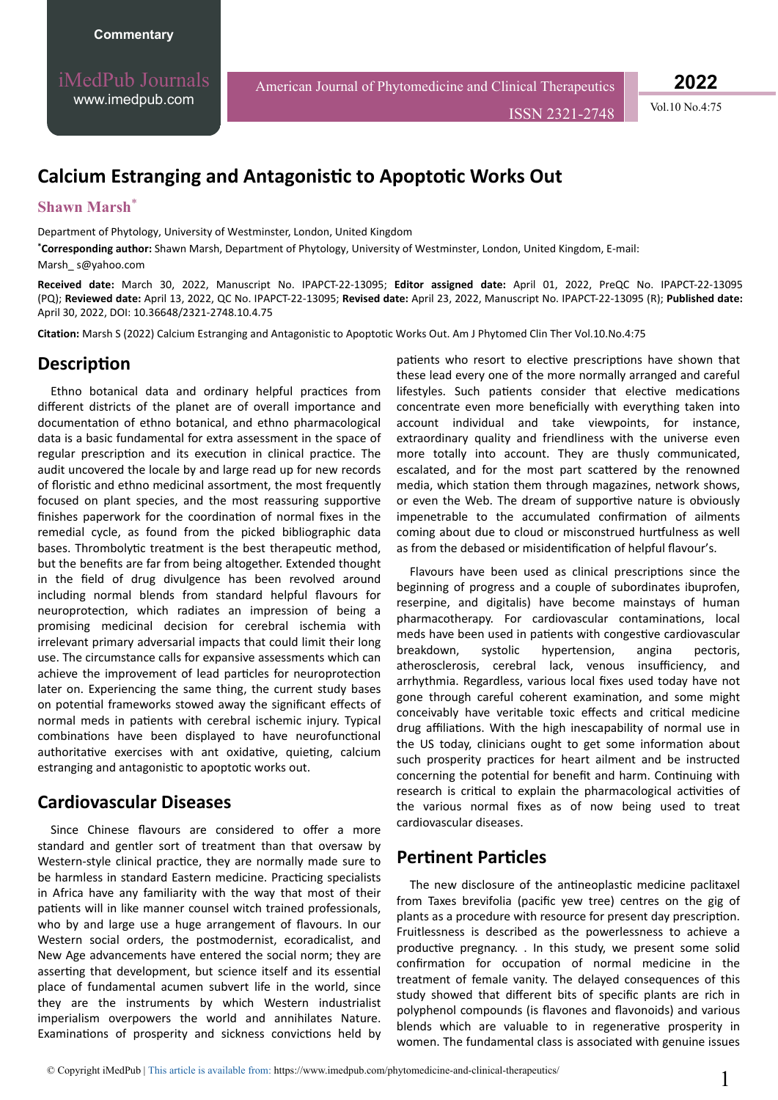iMedPub Journals [www.imedpub.com](http://www.imedpub.com/)

American Journal of Phytomedicine and Clinical Therapeutics

ISSN 2321-2748 Vol.10 No.4:75

**2022**

# **Calcium Estranging and Antagonistic to Apoptotic Works Out**

#### **Shawn Marsh**\*

Department of Phytology, University of Westminster, London, United Kingdom

**\*Corresponding author:** Shawn Marsh, Department of Phytology, University of Westminster, London, United Kingdom, E-mail:

[Marsh\\_ s@yahoo.com](mailto:Marsh_ s@yahoo.com)

**Received date:** March 30, 2022, Manuscript No. IPAPCT-22-13095; **Editor assigned date:** April 01, 2022, PreQC No. IPAPCT-22-13095 (PQ); **Reviewed date:** April 13, 2022, QC No. IPAPCT-22-13095; **Revised date:** April 23, 2022, Manuscript No. IPAPCT-22-13095 (R); **Published date:**  April 30, 2022, DOI: 10.36648/2321-2748.10.4.75

**Citation:** Marsh S (2022) Calcium Estranging and Antagonistic to Apoptotic Works Out. Am J Phytomed Clin Ther Vol.10.No.4:75

#### **Description**

Ethno botanical data and ordinary helpful practices from different districts of the planet are of overall importance and documentation of ethno botanical, and ethno pharmacological data is a basic fundamental for extra assessment in the space of regular prescription and its execution in clinical practice. The audit uncovered the locale by and large read up for new records of floristic and ethno medicinal assortment, the most frequently focused on plant species, and the most reassuring supportive finishes paperwork for the coordination of normal fixes in the remedial cycle, as found from the picked bibliographic data bases. Thrombolytic treatment is the best therapeutic method, but the benefits are far from being altogether. Extended thought in the field of drug divulgence has been revolved around including normal blends from standard helpful flavours for neuroprotection, which radiates an impression of being a promising medicinal decision for cerebral ischemia with irrelevant primary adversarial impacts that could limit their long use. The circumstance calls for expansive assessments which can achieve the improvement of lead particles for neuroprotection later on. Experiencing the same thing, the current study bases on potential frameworks stowed away the significant effects of normal meds in patients with cerebral ischemic injury. Typical combinations have been displayed to have neurofunctional authoritative exercises with ant oxidative, quieting, calcium estranging and antagonistic to apoptotic works out.

## **Cardiovascular Diseases**

Since Chinese flavours are considered to offer a more standard and gentler sort of treatment than that oversaw by Western-style clinical practice, they are normally made sure to be harmless in standard Eastern medicine. Practicing specialists in Africa have any familiarity with the way that most of their patients will in like manner counsel witch trained professionals, who by and large use a huge arrangement of flavours. In our Western social orders, the postmodernist, ecoradicalist, and New Age advancements have entered the social norm; they are asserting that development, but science itself and its essential place of fundamental acumen subvert life in the world, since they are the instruments by which Western industrialist imperialism overpowers the world and annihilates Nature. Examinations of prosperity and sickness convictions held by patients who resort to elective prescriptions have shown that these lead every one of the more normally arranged and careful lifestyles. Such patients consider that elective medications concentrate even more beneficially with everything taken into account individual and take viewpoints, for instance, extraordinary quality and friendliness with the universe even more totally into account. They are thusly communicated, escalated, and for the most part scattered by the renowned media, which station them through magazines, network shows, or even the Web. The dream of supportive nature is obviously impenetrable to the accumulated confirmation of ailments coming about due to cloud or misconstrued hurtfulness as well as from the debased or misidentification of helpful flavour's.

Flavours have been used as clinical prescriptions since the beginning of progress and a couple of subordinates ibuprofen, reserpine, and digitalis) have become mainstays of human pharmacotherapy. For cardiovascular contaminations, local meds have been used in patients with congestive cardiovascular breakdown, systolic hypertension, angina pectoris, atherosclerosis, cerebral lack, venous insufficiency, and arrhythmia. Regardless, various local fixes used today have not gone through careful coherent examination, and some might conceivably have veritable toxic effects and critical medicine drug affiliations. With the high inescapability of normal use in the US today, clinicians ought to get some information about such prosperity practices for heart ailment and be instructed concerning the potential for benefit and harm. Continuing with research is critical to explain the pharmacological activities of the various normal fixes as of now being used to treat cardiovascular diseases.

## **Pertinent Particles**

The new disclosure of the antineoplastic medicine paclitaxel from Taxes brevifolia (pacific yew tree) centres on the gig of plants as a procedure with resource for present day prescription. Fruitlessness is described as the powerlessness to achieve a productive pregnancy. . In this study, we present some solid confirmation for occupation of normal medicine in the treatment of female vanity. The delayed consequences of this study showed that different bits of specific plants are rich in polyphenol compounds (is flavones and flavonoids) and various blends which are valuable to in regenerative prosperity in women. The fundamental class is associated with genuine issues